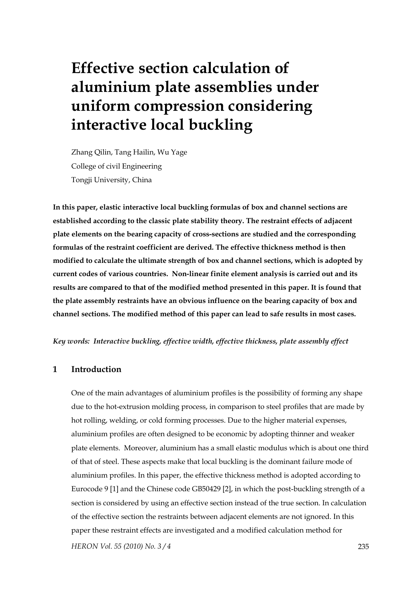# **Effective section calculation of aluminium plate assemblies under uniform compression considering interactive local buckling**

Zhang Qilin, Tang Hailin, Wu Yage College of civil Engineering Tongji University, China

**In this paper, elastic interactive local buckling formulas of box and channel sections are established according to the classic plate stability theory. The restraint effects of adjacent plate elements on the bearing capacity of cross-sections are studied and the corresponding formulas of the restraint coefficient are derived. The effective thickness method is then modified to calculate the ultimate strength of box and channel sections, which is adopted by current codes of various countries. Non-linear finite element analysis is carried out and its results are compared to that of the modified method presented in this paper. It is found that the plate assembly restraints have an obvious influence on the bearing capacity of box and channel sections. The modified method of this paper can lead to safe results in most cases.** 

#### *Key words: Interactive buckling, effective width, effective thickness, plate assembly effect*

# **1 Introduction**

*HERON Vol. 55 (2010) No. 3 / 4* 235 One of the main advantages of aluminium profiles is the possibility of forming any shape due to the hot-extrusion molding process, in comparison to steel profiles that are made by hot rolling, welding, or cold forming processes. Due to the higher material expenses, aluminium profiles are often designed to be economic by adopting thinner and weaker plate elements. Moreover, aluminium has a small elastic modulus which is about one third of that of steel. These aspects make that local buckling is the dominant failure mode of aluminium profiles. In this paper, the effective thickness method is adopted according to Eurocode 9 [1] and the Chinese code GB50429 [2], in which the post-buckling strength of a section is considered by using an effective section instead of the true section. In calculation of the effective section the restraints between adjacent elements are not ignored. In this paper these restraint effects are investigated and a modified calculation method for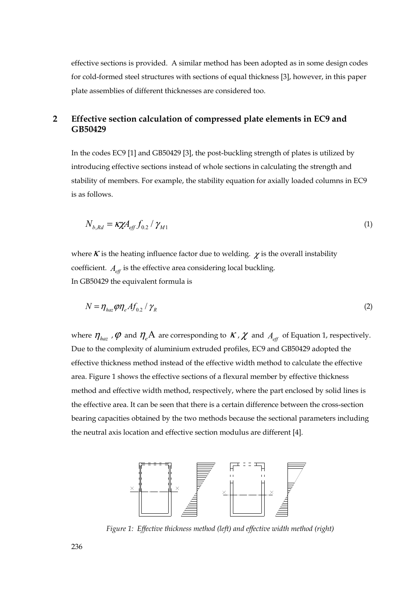effective sections is provided. A similar method has been adopted as in some design codes for cold-formed steel structures with sections of equal thickness [3], however, in this paper plate assemblies of different thicknesses are considered too.

## **2 Effective section calculation of compressed plate elements in EC9 and GB50429**

In the codes EC9 [1] and GB50429 [3], the post-buckling strength of plates is utilized by introducing effective sections instead of whole sections in calculating the strength and stability of members. For example, the stability equation for axially loaded columns in EC9 is as follows.

$$
N_{b, Rd} = \kappa \chi A_{eff} f_{0.2} / \gamma_{M1} \tag{1}
$$

where  $K$  is the heating influence factor due to welding.  $\chi$  is the overall instability coefficient.  $A_{\text{eff}}$  is the effective area considering local buckling. In GB50429 the equivalent formula is

$$
N = \eta_{\text{haz}} \rho \eta_e A f_{0.2} / \gamma_R
$$
 (2)

where  $\eta_{haz}$ ,  $\varphi$  and  $\eta_e A$  are corresponding to  $K$ ,  $\chi$  and  $A_{\text{eff}}$  of Equation 1, respectively. Due to the complexity of aluminium extruded profiles, EC9 and GB50429 adopted the effective thickness method instead of the effective width method to calculate the effective area. Figure 1 shows the effective sections of a flexural member by effective thickness method and effective width method, respectively, where the part enclosed by solid lines is the effective area. It can be seen that there is a certain difference between the cross-section bearing capacities obtained by the two methods because the sectional parameters including the neutral axis location and effective section modulus are different [4].



*Figure 1: Effective thickness method (left) and effective width method (right)*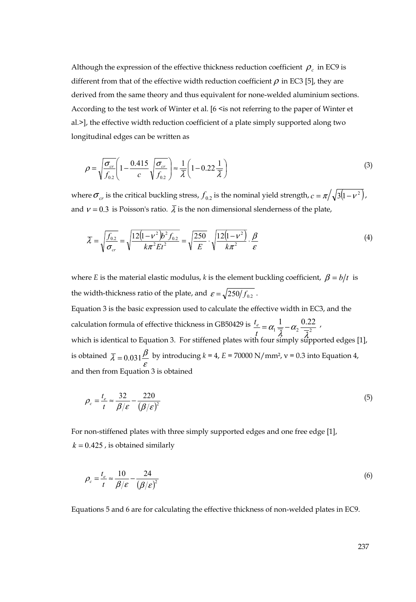Although the expression of the effective thickness reduction coefficient  $\rho_c$  in EC9 is different from that of the effective width reduction coefficient  $\rho$  in EC3 [5], they are derived from the same theory and thus equivalent for none-welded aluminium sections. According to the test work of Winter et al. [6 <is not referring to the paper of Winter et al.>], the effective width reduction coefficient of a plate simply supported along two longitudinal edges can be written as

$$
\rho = \sqrt{\frac{\sigma_{cr}}{f_{0.2}}} \left( 1 - \frac{0.415}{c} \sqrt{\frac{\sigma_{cr}}{f_{0.2}}} \right) \approx \frac{1}{\lambda} \left( 1 - 0.22 \frac{1}{\lambda} \right)
$$
\n(3)

where  $\sigma_{cr}$  is the critical buckling stress,  $f_{0,2}$  is the nominal yield strength,  $c = \pi / \sqrt{3(1 - v^2)}$ , and  $v = 0.3$  is Poisson's ratio.  $\overline{\lambda}$  is the non dimensional slenderness of the plate,

$$
\overline{\lambda} = \sqrt{\frac{f_{02}}{\sigma_{cr}}} = \sqrt{\frac{12(1 - v^2)b^2 f_{02}}{k\pi^2 E t^2}} = \sqrt{\frac{250}{E}} \cdot \sqrt{\frac{12(1 - v^2)}{k\pi^2}} \cdot \frac{\beta}{\varepsilon}
$$
(4)

where *E* is the material elastic modulus, *k* is the element buckling coefficient,  $\beta = b/t$  is the width-thickness ratio of the plate, and  $\varepsilon = \sqrt{250/f_{0.2}}$ . Equation 3 is the basic expression used to calculate the effective width in EC3, and the calculation formula of effective thickness in GB50429 is  $\frac{t_e}{t} = \alpha_1 \frac{1}{\overline{\lambda}} - \alpha_2 \frac{0.22}{\overline{\lambda}^2}$ which is identical to Equation 3. For stiffened plates with four simply supported edges [1], is obtained  $\bar{\lambda} = 0.031 \frac{\beta}{\epsilon}$  by introducing  $k = 4$ ,  $E = 70000 \text{ N/mm}^2$ ,  $v = 0.3$  into Equation 4, and then from Equation 3 is obtained

$$
\rho_c = \frac{t_e}{t} \approx \frac{32}{\beta/\varepsilon} - \frac{220}{(\beta/\varepsilon)^2} \tag{5}
$$

For non-stiffened plates with three simply supported edges and one free edge [1],  $k = 0.425$ , is obtained similarly

$$
\rho_c = \frac{t_e}{t} \approx \frac{10}{\beta/\varepsilon} - \frac{24}{(\beta/\varepsilon)^2} \tag{6}
$$

Equations 5 and 6 are for calculating the effective thickness of non-welded plates in EC9.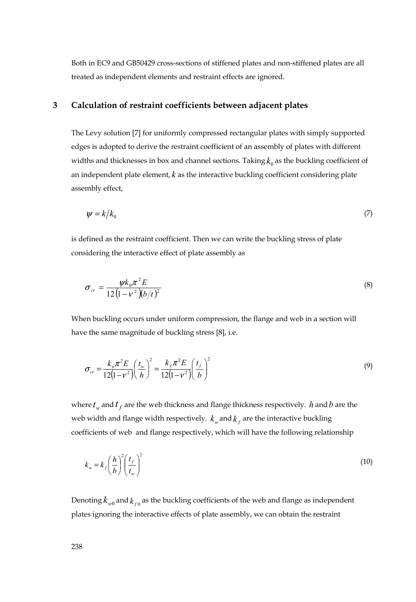Both in EC9 and GB50429 cross-sections of stiffened plates and non-stiffened plates are all treated as independent elements and restraint effects are ignored.

## **3 Calculation of restraint coefficients between adjacent plates**

The Levy solution [7] for uniformly compressed rectangular plates with simply supported edges is adopted to derive the restraint coefficient of an assembly of plates with different widths and thicknesses in box and channel sections. Taking  $k_0$  as the buckling coefficient of an independent plate element,  $k$  as the interactive buckling coefficient considering plate assembly effect,

$$
\psi = k/k_0 \tag{7}
$$

is defined as the restraint coefficient. Then we can write the buckling stress of plate considering the interactive effect of plate assembly as

$$
\sigma_{cr} = \frac{\psi k_0 \pi^2 E}{12 \left(1 - v^2\right) (b/t)^2}
$$
\n(8)

When buckling occurs under uniform compression, the flange and web in a section will have the same magnitude of buckling stress [8], i.e.

$$
\sigma_{cr} = \frac{k_w \pi^2 E}{12(1 - v^2)} \left(\frac{t_w}{h}\right)^2 = \frac{k_f \pi^2 E}{12(1 - v^2)} \left(\frac{t_f}{b}\right)^2 \tag{9}
$$

where  $t_w$  and  $t_f$  are the web thickness and flange thickness respectively. *h* and *b* are the web width and flange width respectively.  $k_w$  and  $k_f$  are the interactive buckling coefficients of web and flange respectively, which will have the following relationship

$$
k_w = k_f \left(\frac{h}{b}\right)^2 \left(\frac{t_f}{t_w}\right)^2 \tag{10}
$$

Denoting  $k_{w0}$  and  $k_{\text{on}}$  as the buckling coefficients of the web and flange as independent plates ignoring the interactive effects of plate assembly, we can obtain the restraint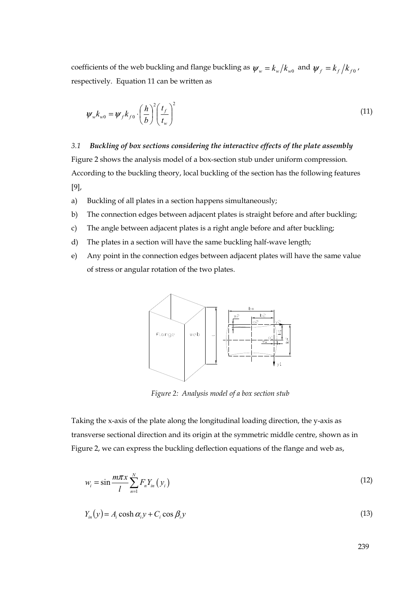coefficients of the web buckling and flange buckling as  $\psi_w = k_w / k_{w0}$  and  $\psi_f = k_f / k_{f0}$ , respectively. Equation 11 can be written as

$$
\psi_{w} k_{w0} = \psi_{f} k_{f0} \cdot \left(\frac{h}{b}\right)^{2} \left(\frac{t_{f}}{t_{w}}\right)^{2}
$$
\n(11)

*3.1 Buckling of box sections considering the interactive effects of the plate assembly*  Figure 2 shows the analysis model of a box-section stub under uniform compression. According to the buckling theory, local buckling of the section has the following features [9],

- a) Buckling of all plates in a section happens simultaneously;
- b) The connection edges between adjacent plates is straight before and after buckling;
- c) The angle between adjacent plates is a right angle before and after buckling;
- d) The plates in a section will have the same buckling half-wave length;
- e) Any point in the connection edges between adjacent plates will have the same value of stress or angular rotation of the two plates.



*Figure 2: Analysis model of a box section stub* 

Taking the x-axis of the plate along the longitudinal loading direction, the y-axis as transverse sectional direction and its origin at the symmetric middle centre, shown as in Figure 2, we can express the buckling deflection equations of the flange and web as,

$$
w_i = \sin \frac{m\pi x}{l} \sum_{n=1}^{N} F_n Y_{in} \left( y_i \right) \tag{12}
$$

$$
Y_{in}(y) = A_i \cosh \alpha_i y + C_i \cos \beta_i y \tag{13}
$$

239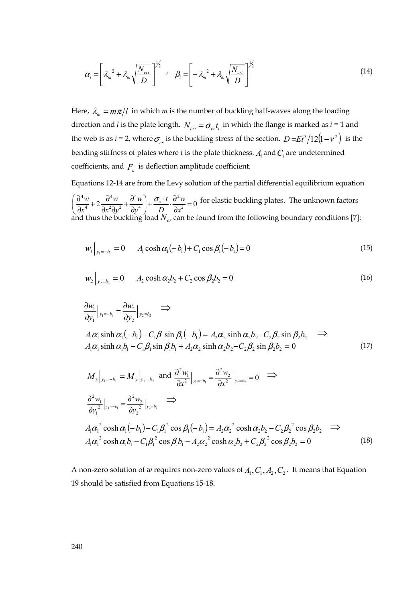$$
\alpha_i = \left[\lambda_m^2 + \lambda_m \sqrt{\frac{N_{cri}}{D}}\right]^{1/2} \cdot \beta_i = \left[-\lambda_m^2 + \lambda_m \sqrt{\frac{N_{cri}}{D}}\right]^{1/2}
$$
(14)

Here,  $\lambda_m = m\pi/l$  in which *m* is the number of buckling half-waves along the loading direction and *l* is the plate length.  $N_{cri} = \sigma_{cr} t_i$  in which the flange is marked as  $i = 1$  and the web is as *i* = 2, where  $\sigma_r$  is the buckling stress of the section.  $D = Et^3/12(1 - v^2)$  is the bending stiffness of plates where *t* is the plate thickness.  $A_i$  and  $C_i$  are undetermined coefficients, and  $F<sub>n</sub>$  is deflection amplitude coefficient.

Equations 12-14 are from the Levy solution of the partial differential equilibrium equation  $\left(\frac{\partial^4 w}{\partial x^4} + 2\frac{\partial^4 w}{\partial x^2 \partial y^2} + \frac{\partial^4 w}{\partial y^4}\right) + \frac{\sigma_x \cdot t}{D} \cdot \frac{\partial^2 w}{\partial x^2} = 0$  for elastic buckling plates. The unknown factors and thus the buckling load  $N_{cr}$  can be found from the following boundary conditions [7]:

$$
w_1|_{y_1 = -b_1} = 0 \t A_1 \cosh \alpha_1(-b_1) + C_1 \cos \beta_1(-b_1) = 0 \t (15)
$$

$$
w_2|_{y_2=b_2} = 0 \t A_2 \cosh \alpha_2 b_2 + C_2 \cos \beta_2 b_2 = 0 \t (16)
$$

$$
\frac{\partial w_1}{\partial y_1}\Big|_{y_1=-b_1} = \frac{\partial w_2}{\partial y_2}\Big|_{y_2=b_2} \quad \Longrightarrow \quad
$$

$$
A_1\alpha_1 \sinh \alpha_1(-b_1) - C_1\beta_1 \sin \beta_1(-b_1) = A_2\alpha_2 \sinh \alpha_2 b_2 - C_2\beta_2 \sin \beta_2 b_2 \implies A_1\alpha_1 \sinh \alpha_1 b_1 - C_1\beta_1 \sin \beta_1 b_1 + A_2\alpha_2 \sinh \alpha_2 b_2 - C_2\beta_2 \sin \beta_2 b_2 = 0
$$
\n(17)

$$
M_{y}|_{y_1 = -b_1} = M_{y}|_{y_2 = b_2} \text{ and } \frac{\partial^2 w_i}{\partial x^2}|_{y_1 = -b_1} = \frac{\partial^2 w_2}{\partial x^2}|_{y_2 = b_2} = 0 \implies
$$
  

$$
\frac{\partial^2 w_1}{\partial y_1^2}|_{y_1 = -b_1} = \frac{\partial^2 w_2}{\partial y_2^2}|_{y_2 = b_2} \implies
$$
  

$$
A_1 \alpha_1^2 \cosh \alpha_1 (-b_1) - C_1 \beta_1^2 \cos \beta_1 (-b_1) = A_2 \alpha_2^2 \cosh \alpha_2 b_2 - C_2 \beta_2^2 \cos \beta_2 b_2 \implies
$$
  

$$
A_1 \alpha_1^2 \cosh \alpha_1 b_1 - C_1 \beta_1^2 \cos \beta_1 b_1 - A_2 \alpha_2^2 \cosh \alpha_2 b_2 + C_2 \beta_2^2 \cos \beta_2 b_2 = 0 \tag{18}
$$

A non-zero solution of *w* requires non-zero values of  $A_1, C_1, A_2, C_2$ . It means that Equation 19 should be satisfied from Equations 15-18.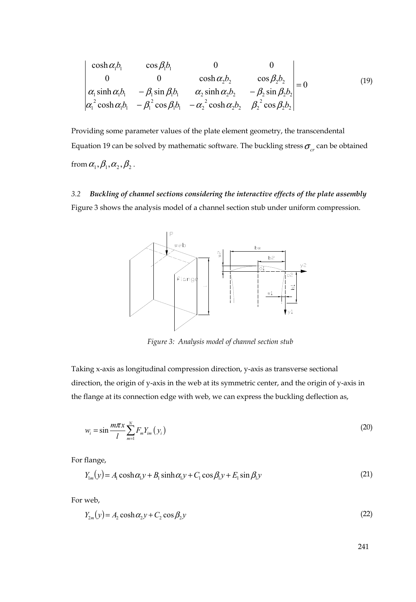$$
\begin{vmatrix}\n\cosh \alpha_1 b_1 & \cos \beta_1 b_1 & 0 & 0 \\
0 & 0 & \cosh \alpha_2 b_2 & \cos \beta_2 b_2 \\
\alpha_1 \sinh \alpha_1 b_1 & -\beta_1 \sin \beta_1 b_1 & \alpha_2 \sinh \alpha_2 b_2 & -\beta_2 \sin \beta_2 b_2 \\
\alpha_1^2 \cosh \alpha_1 b_1 & -\beta_1^2 \cos \beta_1 b_1 & -\alpha_2^2 \cosh \alpha_2 b_2 & \beta_2^2 \cos \beta_2 b_2\n\end{vmatrix} = 0
$$
\n(19)

Providing some parameter values of the plate element geometry, the transcendental Equation 19 can be solved by mathematic software. The buckling stress  $\sigma_{cr}$  can be obtained from  $\alpha_1, \beta_1, \alpha_2, \beta_2$ .

*3.2 Buckling of channel sections considering the interactive effects of the plate assembly*  Figure 3 shows the analysis model of a channel section stub under uniform compression.



*Figure 3: Analysis model of channel section stub* 

Taking x-axis as longitudinal compression direction, y-axis as transverse sectional direction, the origin of y-axis in the web at its symmetric center, and the origin of y-axis in the flange at its connection edge with web, we can express the buckling deflection as,

$$
w_i = \sin \frac{m\pi x}{l} \sum_{m=1}^{N} F_m Y_{im} \left( y_i \right) \tag{20}
$$

For flange,

$$
Y_{1m}(y) = A_1 \cosh \alpha_1 y + B_1 \sinh \alpha_1 y + C_1 \cos \beta_1 y + E_1 \sin \beta_1 y \tag{21}
$$

For web,

$$
Y_{2m}(y) = A_2 \cosh \alpha_2 y + C_2 \cos \beta_2 y \tag{22}
$$

241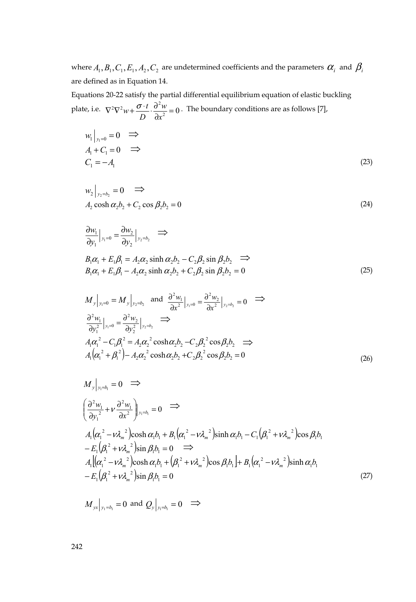where  $A_1, B_1, C_1, E_1, A_2, C_2$  are undetermined coefficients and the parameters  $\alpha_i$  and  $\beta_i$ are defined as in Equation 14.

Equations 20-22 satisfy the partial differential equilibrium equation of elastic buckling plate, i.e.  $\nabla^2 \nabla^2 w + \frac{\sigma \cdot t}{D} \cdot \frac{\partial^2 w}{\partial x^2} = 0$ . The boundary conditions are as follows [7],

$$
w_1|_{y_1=0} = 0 \implies A_1 + C_1 = 0 \implies C_1 = -A_1
$$
 (23)

$$
w_2|_{y_2=b_2} = 0 \implies
$$
  
\n
$$
A_2 \cosh \alpha_2 b_2 + C_2 \cos \beta_2 b_2 = 0
$$
\n(24)

$$
\frac{\partial w_1}{\partial y_1}\Big|_{y_1=0} = \frac{\partial w_2}{\partial y_2}\Big|_{y_2=b_2} \implies
$$
  
\n
$$
B_1\alpha_1 + E_1\beta_1 = A_2\alpha_2 \sinh \alpha_2 b_2 - C_2\beta_2 \sin \beta_2 b_2 \implies
$$
  
\n
$$
B_1\alpha_1 + E_1\beta_1 - A_2\alpha_2 \sinh \alpha_2 b_2 + C_2\beta_2 \sin \beta_2 b_2 = 0
$$
\n(25)

$$
M_{y}|_{y_1=0} = M_{y}|_{y_2=b_2} \text{ and } \frac{\partial^2 w_1}{\partial x^2}|_{y_1=0} = \frac{\partial^2 w_2}{\partial x^2}|_{y_2=b_2} = 0 \implies
$$
  

$$
\frac{\partial^2 w_1}{\partial y_1^2}|_{y_1=0} = \frac{\partial^2 w_2}{\partial y_2^2}|_{y_2=b_2} \implies
$$
  

$$
A_1 \alpha_1^2 - C_1 \beta_1^2 = A_2 \alpha_2^2 \cosh \alpha_2 b_2 - C_2 \beta_2^2 \cos \beta_2 b_2 \implies
$$
  

$$
A_1 (\alpha_1^2 + \beta_1^2) - A_2 \alpha_2^2 \cosh \alpha_2 b_2 + C_2 \beta_2^2 \cos \beta_2 b_2 = 0
$$
 (26)

$$
M_{y}|_{y_1=b_1}=0 \implies
$$
\n
$$
\left(\frac{\partial^2 w_1}{\partial y_1^2} + v \frac{\partial^2 w_1}{\partial x^2}\right)|_{y_1=b_1}=0 \implies
$$
\n
$$
A_1(\alpha_1^2 - v\lambda_m^2) \cosh \alpha_1 b_1 + B_1(\alpha_1^2 - v\lambda_m^2) \sinh \alpha_1 b_1 - C_1(\beta_1^2 + v\lambda_m^2) \cos \beta_1 b_1
$$
\n
$$
-E_1(\beta_1^2 + v\lambda_m^2) \sin \beta_1 b_1 = 0 \implies
$$
\n
$$
A_1 | (\alpha_1^2 - v\lambda_m^2) \cosh \alpha_1 b_1 + (\beta_1^2 + v\lambda_m^2) \cos \beta_1 b_1 + B_1(\alpha_1^2 - v\lambda_m^2) \sinh \alpha_1 b_1
$$
\n
$$
-E_1(\beta_1^2 + v\lambda_m^2) \sin \beta_1 b_1 = 0 \tag{27}
$$

$$
M_{yx}|_{y_1=b_1}=0
$$
 and  $Q_y|_{y_1=b_1}=0 \implies$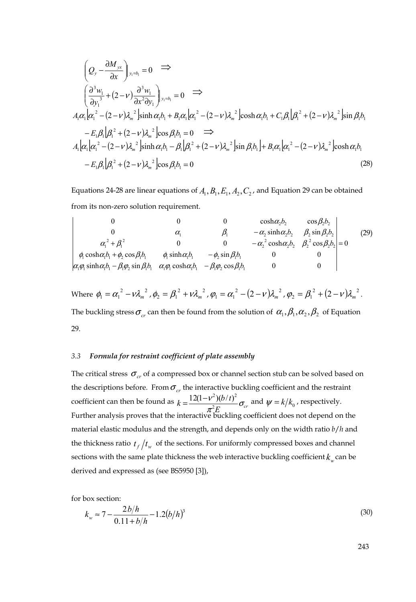$$
\left(Q_{y} - \frac{\partial M_{yx}}{\partial x}\right)_{y_{1}=b_{1}} = 0 \implies
$$
\n
$$
\left(\frac{\partial^{3} w_{1}}{\partial y_{1}^{3}} + (2 - v) \frac{\partial^{3} w_{1}}{\partial x^{2} \partial y_{1}}\right)_{y_{1}=b_{1}} = 0 \implies
$$
\n
$$
A_{1} \alpha_{1} \left[\alpha_{1}^{2} - (2 - v) \lambda_{m}^{2}\right] \sinh \alpha_{1} b_{1} + B_{1} \alpha_{1} \left[\alpha_{1}^{2} - (2 - v) \lambda_{m}^{2}\right] \cosh \alpha_{1} b_{1} + C_{1} \beta_{1} \left[\beta_{1}^{2} + (2 - v) \lambda_{m}^{2}\right] \sin \beta_{1} b_{1}
$$
\n
$$
- E_{1} \beta_{1} \left[\beta_{1}^{2} + (2 - v) \lambda_{m}^{2}\right] \cos \beta_{1} b_{1} = 0 \implies
$$
\n
$$
A_{1} \left[\alpha_{1} \left[\alpha_{1}^{2} - (2 - v) \lambda_{m}^{2}\right] \sinh \alpha_{1} b_{1} - \beta_{1} \left[\beta_{1}^{2} + (2 - v) \lambda_{m}^{2}\right] \sin \beta_{1} b_{1}\right] + B_{1} \alpha_{1} \left[\alpha_{1}^{2} - (2 - v) \lambda_{m}^{2}\right] \cosh \alpha_{1} b_{1}
$$
\n
$$
- E_{1} \beta_{1} \left[\beta_{1}^{2} + (2 - v) \lambda_{m}^{2}\right] \cos \beta_{1} b_{1} = 0 \tag{28}
$$

Equations 24-28 are linear equations of  $A_1, B_1, E_1, A_2, C_2$ , and Equation 29 can be obtained from its non-zero solution requirement.

0 0 0 
$$
\cosh \alpha_2 b_2
$$
  $\cos \beta_2 b_2$   
\n0 0  $\alpha_1$   $\beta_1$   $-\alpha_2 \sinh \alpha_2 b_2$   $\beta_2 \sin \beta_2 b_2$   
\n $\alpha_1^2 + \beta_1^2$  0 0  $-\alpha_2^2 \cosh \alpha_2 b_2$   $\beta_2^2 \cos \beta_2 b_2$  (29)  
\n $\phi_1 \cosh \alpha_1 b_1 + \phi_2 \cos \beta_1 b_1$   $\phi_1 \sinh \alpha_1 b_1$   $-\phi_2 \sin \beta_1 b_1$  0 0

Where  $\phi_1 = \alpha_1^2 - \nu \lambda_m^2$ ,  $\phi_2 = \beta_1^2 + \nu \lambda_m^2$ ,  $\phi_1 = \alpha_1^2 - (2 - \nu) \lambda_m^2$ ,  $\phi_2 = \beta_1^2 + (2 - \nu) \lambda_m^2$ . The buckling stress  $\sigma_{\alpha}$  can then be found from the solution of  $\alpha_1, \beta_1, \alpha_2, \beta_2$  of Equation 29.

#### *3.3 Formula for restraint coefficient of plate assembly*

The critical stress  $\sigma_{cr}$  of a compressed box or channel section stub can be solved based on the descriptions before. From  $\sigma_{cr}$  the interactive buckling coefficient and the restraint coefficient can then be found as  $k = \frac{12(1 - v^2)(b/t)^2}{\pi^2 E} \sigma_{cr}$ ν  $=\frac{12(1-\nu^2)(b/t)^2}{\sigma^2 E}\sigma_{cr}$  and  $\psi=k/k_0$ , respectively. Further analysis proves that the interactive buckling coefficient does not depend on the material elastic modulus and the strength, and depends only on the width ratio *b*/*h* and the thickness ratio  $t_f/t_w$  of the sections. For uniformly compressed boxes and channel sections with the same plate thickness the web interactive buckling coefficient  $k_{w}$  can be derived and expressed as (see BS5950 [3]),

for box section:

$$
k_w \approx 7 - \frac{2b/h}{0.11 + b/h} - 1.2(b/h)^3
$$
\n(30)

243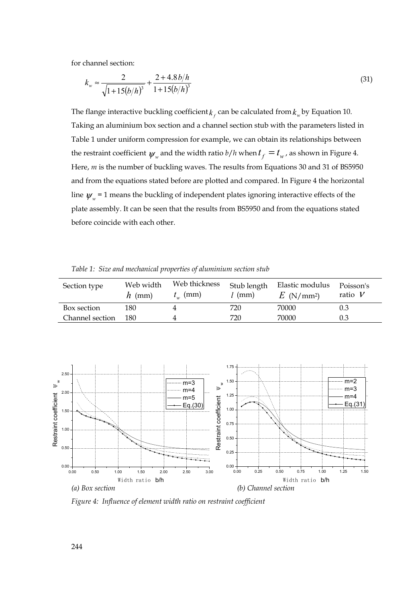for channel section:

$$
k_w \approx \frac{2}{\sqrt{1 + 15(b/h)^3}} + \frac{2 + 4.8b/h}{1 + 15(b/h)^3}
$$
(31)

The flange interactive buckling coefficient  $k_k$  can be calculated from  $k_w$  by Equation 10. Taking an aluminium box section and a channel section stub with the parameters listed in Table 1 under uniform compression for example, we can obtain its relationships between the restraint coefficient  $\psi_w$  and the width ratio  $b/h$  when  $t_f = t_w$ , as shown in Figure 4. Here, *m* is the number of buckling waves. The results from Equations 30 and 31 of BS5950 and from the equations stated before are plotted and compared. In Figure 4 the horizontal line  $\psi_w$  = 1 means the buckling of independent plates ignoring interactive effects of the plate assembly. It can be seen that the results from BS5950 and from the equations stated before coincide with each other.

*Table 1: Size and mechanical properties of aluminium section stub* 

| Section type    | Web width<br>$h$ (mm) | Web thickness<br>$t_{w}$ (mm) | Stub length<br>$l$ (mm) | Elastic modulus<br>$E$ (N/mm <sup>2</sup> ) | Poisson's<br>ratio $V$ |
|-----------------|-----------------------|-------------------------------|-------------------------|---------------------------------------------|------------------------|
| Box section     | 180                   |                               | 720                     | 70000                                       | 0.3                    |
| Channel section | 180                   |                               | 720                     | 70000                                       | 0.3                    |



*Figure 4: Influence of element width ratio on restraint coefficient*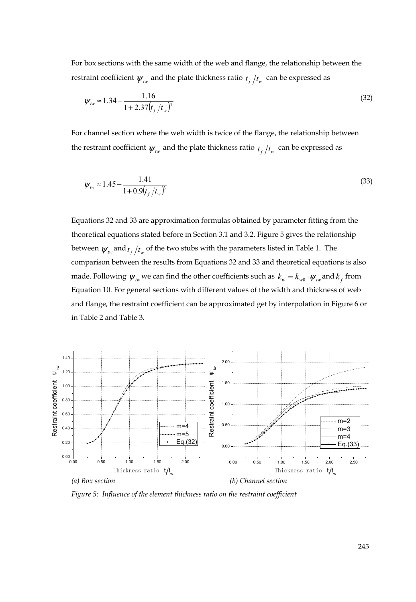For box sections with the same width of the web and flange, the relationship between the restraint coefficient  $\psi_{\text{tw}}$  and the plate thickness ratio  $t_f/t_w$  can be expressed as

$$
\psi_{\text{rw}} \approx 1.34 - \frac{1.16}{1 + 2.37 \left( t_f / t_w \right)^4} \tag{32}
$$

For channel section where the web width is twice of the flange, the relationship between the restraint coefficient  $\psi_{\mu\nu}$  and the plate thickness ratio  $t_f/t_w$  can be expressed as

$$
\psi_{\text{rw}} \approx 1.45 - \frac{1.41}{1 + 0.9 \left( t_f / t_w \right)^3} \tag{33}
$$

Equations 32 and 33 are approximation formulas obtained by parameter fitting from the theoretical equations stated before in Section 3.1 and 3.2. Figure 5 gives the relationship between  $\psi_{\mu\nu}$  and  $t_f/t_w$  of the two stubs with the parameters listed in Table 1. The comparison between the results from Equations 32 and 33 and theoretical equations is also made. Following  $\psi_{\text{w}}$  we can find the other coefficients such as  $k_{\text{w}} = k_{\text{w0}} \cdot \psi_{\text{w}}$  and  $k_{\text{f}}$  from Equation 10. For general sections with different values of the width and thickness of web and flange, the restraint coefficient can be approximated get by interpolation in Figure 6 or in Table 2 and Table 3.



*Figure 5: Influence of the element thickness ratio on the restraint coefficient*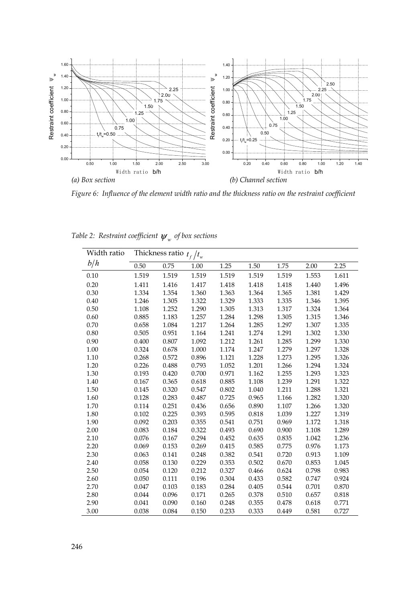

*Figure 6: Influence of the element width ratio and the thickness ratio on the restraint coefficient* 

| Width ratio | Thickness ratio $t_f/t_w$ |       |       |       |       |       |       |       |
|-------------|---------------------------|-------|-------|-------|-------|-------|-------|-------|
| b/h         | 0.50                      | 0.75  | 1.00  | 1.25  | 1.50  | 1.75  | 2.00  | 2.25  |
| 0.10        | 1.519                     | 1.519 | 1.519 | 1.519 | 1.519 | 1.519 | 1.553 | 1.611 |
| 0.20        | 1.411                     | 1.416 | 1.417 | 1.418 | 1.418 | 1.418 | 1.440 | 1.496 |
| 0.30        | 1.334                     | 1.354 | 1.360 | 1.363 | 1.364 | 1.365 | 1.381 | 1.429 |
| 0.40        | 1.246                     | 1.305 | 1.322 | 1.329 | 1.333 | 1.335 | 1.346 | 1.395 |
| 0.50        | 1.108                     | 1.252 | 1.290 | 1.305 | 1.313 | 1.317 | 1.324 | 1.364 |
| 0.60        | 0.885                     | 1.183 | 1.257 | 1.284 | 1.298 | 1.305 | 1.315 | 1.346 |
| 0.70        | 0.658                     | 1.084 | 1.217 | 1.264 | 1.285 | 1.297 | 1.307 | 1.335 |
| 0.80        | 0.505                     | 0.951 | 1.164 | 1.241 | 1.274 | 1.291 | 1.302 | 1.330 |
| 0.90        | 0.400                     | 0.807 | 1.092 | 1.212 | 1.261 | 1.285 | 1.299 | 1.330 |
| 1.00        | 0.324                     | 0.678 | 1.000 | 1.174 | 1.247 | 1.279 | 1.297 | 1.328 |
| 1.10        | 0.268                     | 0.572 | 0.896 | 1.121 | 1.228 | 1.273 | 1.295 | 1.326 |
| 1.20        | 0.226                     | 0.488 | 0.793 | 1.052 | 1.201 | 1.266 | 1.294 | 1.324 |
| 1.30        | 0.193                     | 0.420 | 0.700 | 0.971 | 1.162 | 1.255 | 1.293 | 1.323 |
| 1.40        | 0.167                     | 0.365 | 0.618 | 0.885 | 1.108 | 1.239 | 1.291 | 1.322 |
| 1.50        | 0.145                     | 0.320 | 0.547 | 0.802 | 1.040 | 1.211 | 1.288 | 1.321 |
| 1.60        | 0.128                     | 0.283 | 0.487 | 0.725 | 0.965 | 1.166 | 1.282 | 1.320 |
| 1.70        | 0.114                     | 0.251 | 0.436 | 0.656 | 0.890 | 1.107 | 1.266 | 1.320 |
| 1.80        | 0.102                     | 0.225 | 0.393 | 0.595 | 0.818 | 1.039 | 1.227 | 1.319 |
| 1.90        | 0.092                     | 0.203 | 0.355 | 0.541 | 0.751 | 0.969 | 1.172 | 1.318 |
| 2.00        | 0.083                     | 0.184 | 0.322 | 0.493 | 0.690 | 0.900 | 1.108 | 1.289 |
| 2.10        | 0.076                     | 0.167 | 0.294 | 0.452 | 0.635 | 0.835 | 1.042 | 1.236 |
| 2.20        | 0.069                     | 0.153 | 0.269 | 0.415 | 0.585 | 0.775 | 0.976 | 1.173 |
| 2.30        | 0.063                     | 0.141 | 0.248 | 0.382 | 0.541 | 0.720 | 0.913 | 1.109 |
| 2.40        | 0.058                     | 0.130 | 0.229 | 0.353 | 0.502 | 0.670 | 0.853 | 1.045 |
| 2.50        | 0.054                     | 0.120 | 0.212 | 0.327 | 0.466 | 0.624 | 0.798 | 0.983 |
| 2.60        | 0.050                     | 0.111 | 0.196 | 0.304 | 0.433 | 0.582 | 0.747 | 0.924 |
| 2.70        | 0.047                     | 0.103 | 0.183 | 0.284 | 0.405 | 0.544 | 0.701 | 0.870 |
| 2.80        | 0.044                     | 0.096 | 0.171 | 0.265 | 0.378 | 0.510 | 0.657 | 0.818 |
| 2.90        | 0.041                     | 0.090 | 0.160 | 0.248 | 0.355 | 0.478 | 0.618 | 0.771 |
| 3.00        | 0.038                     | 0.084 | 0.150 | 0.233 | 0.333 | 0.449 | 0.581 | 0.727 |

*Table 2: Restraint coefficient*  $\psi_w$  *of box sections*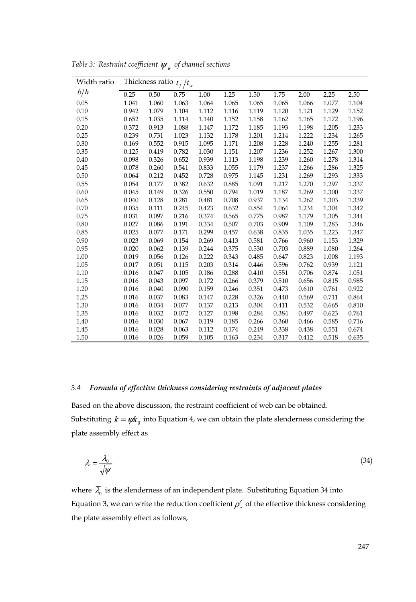| Width ratio |       |       | Thickness ratio $t_f/t_w$ |       |       |       |       |       |       |       |
|-------------|-------|-------|---------------------------|-------|-------|-------|-------|-------|-------|-------|
| b/h         | 0.25  | 0.50  | 0.75                      | 1.00  | 1.25  | 1.50  | 1.75  | 2.00  | 2.25  | 2.50  |
| 0.05        | 1.041 | 1.060 | 1.063                     | 1.064 | 1.065 | 1.065 | 1.065 | 1.066 | 1.077 | 1.104 |
| 0.10        | 0.942 | 1.079 | 1.104                     | 1.112 | 1.116 | 1.119 | 1.120 | 1.121 | 1.129 | 1.152 |
| 0.15        | 0.652 | 1.035 | 1.114                     | 1.140 | 1.152 | 1.158 | 1.162 | 1.165 | 1.172 | 1.196 |
| 0.20        | 0.372 | 0.913 | 1.088                     | 1.147 | 1.172 | 1.185 | 1.193 | 1.198 | 1.205 | 1.233 |
| 0.25        | 0.239 | 0.731 | 1.023                     | 1.132 | 1.178 | 1.201 | 1.214 | 1.222 | 1.234 | 1.265 |
| 0.30        | 0.169 | 0.552 | 0.915                     | 1.095 | 1.171 | 1.208 | 1.228 | 1.240 | 1.255 | 1.281 |
| 0.35        | 0.125 | 0.419 | 0.782                     | 1.030 | 1.151 | 1.207 | 1.236 | 1.252 | 1.267 | 1.300 |
| 0.40        | 0.098 | 0.326 | 0.652                     | 0.939 | 1.113 | 1.198 | 1.239 | 1.260 | 1.278 | 1.314 |
| 0.45        | 0.078 | 0.260 | 0.541                     | 0.833 | 1.055 | 1.179 | 1.237 | 1.266 | 1.286 | 1.325 |
| 0.50        | 0.064 | 0.212 | 0.452                     | 0.728 | 0.975 | 1.145 | 1.231 | 1.269 | 1.293 | 1.333 |
| 0.55        | 0.054 | 0.177 | 0.382                     | 0.632 | 0.885 | 1.091 | 1.217 | 1.270 | 1.297 | 1.337 |
| 0.60        | 0.045 | 0.149 | 0.326                     | 0.550 | 0.794 | 1.019 | 1.187 | 1.269 | 1.300 | 1.337 |
| 0.65        | 0.040 | 0.128 | 0.281                     | 0.481 | 0.708 | 0.937 | 1.134 | 1.262 | 1.303 | 1.339 |
| 0.70        | 0.035 | 0.111 | 0.245                     | 0.423 | 0.632 | 0.854 | 1.064 | 1.234 | 1.304 | 1.342 |
| 0.75        | 0.031 | 0.097 | 0.216                     | 0.374 | 0.565 | 0.775 | 0.987 | 1.179 | 1.305 | 1.344 |
| 0.80        | 0.027 | 0.086 | 0.191                     | 0.334 | 0.507 | 0.703 | 0.909 | 1.109 | 1.283 | 1.346 |
| 0.85        | 0.025 | 0.077 | 0.171                     | 0.299 | 0.457 | 0.638 | 0.835 | 1.035 | 1.223 | 1.347 |
| 0.90        | 0.023 | 0.069 | 0.154                     | 0.269 | 0.413 | 0.581 | 0.766 | 0.960 | 1.153 | 1.329 |
| 0.95        | 0.020 | 0.062 | 0.139                     | 0.244 | 0.375 | 0.530 | 0.703 | 0.889 | 1.080 | 1.264 |
| 1.00        | 0.019 | 0.056 | 0.126                     | 0.222 | 0.343 | 0.485 | 0.647 | 0.823 | 1.008 | 1.193 |
| 1.05        | 0.017 | 0.051 | 0.115                     | 0.203 | 0.314 | 0.446 | 0.596 | 0.762 | 0.939 | 1.121 |
| 1.10        | 0.016 | 0.047 | 0.105                     | 0.186 | 0.288 | 0.410 | 0.551 | 0.706 | 0.874 | 1.051 |
| 1.15        | 0.016 | 0.043 | 0.097                     | 0.172 | 0.266 | 0.379 | 0.510 | 0.656 | 0.815 | 0.985 |
| 1.20        | 0.016 | 0.040 | 0.090                     | 0.159 | 0.246 | 0.351 | 0.473 | 0.610 | 0.761 | 0.922 |
| 1.25        | 0.016 | 0.037 | 0.083                     | 0.147 | 0.228 | 0.326 | 0.440 | 0.569 | 0.711 | 0.864 |
| 1.30        | 0.016 | 0.034 | 0.077                     | 0.137 | 0.213 | 0.304 | 0.411 | 0.532 | 0.665 | 0.810 |
| 1.35        | 0.016 | 0.032 | 0.072                     | 0.127 | 0.198 | 0.284 | 0.384 | 0.497 | 0.623 | 0.761 |
| 1.40        | 0.016 | 0.030 | 0.067                     | 0.119 | 0.185 | 0.266 | 0.360 | 0.466 | 0.585 | 0.716 |
| 1.45        | 0.016 | 0.028 | 0.063                     | 0.112 | 0.174 | 0.249 | 0.338 | 0.438 | 0.551 | 0.674 |
| 1.50        | 0.016 | 0.026 | 0.059                     | 0.105 | 0.163 | 0.234 | 0.317 | 0.412 | 0.518 | 0.635 |

*Table 3: Restraint coefficient*  $\psi_w$  *of channel sections* 

#### *3.4 Formula of effective thickness considering restraints of adjacent plates*

Based on the above discussion, the restraint coefficient of web can be obtained. Substituting  $k = \psi k_0$  into Equation 4, we can obtain the plate slenderness considering the plate assembly effect as

$$
\overline{\lambda} = \frac{\overline{\lambda}_0}{\sqrt{\psi}} \tag{34}
$$

where  $\overline{\lambda}_0$  is the slenderness of an independent plate. Substituting Equation 34 into Equation 3, we can write the reduction coefficient  $\rho'_{c}$  of the effective thickness considering the plate assembly effect as follows,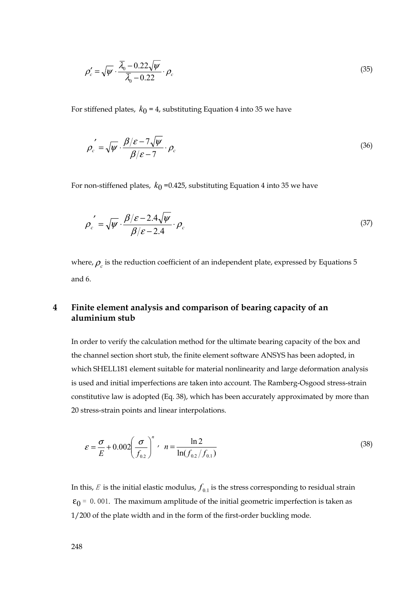$$
\rho_c' = \sqrt{\psi} \cdot \frac{\overline{\lambda}_0 - 0.22\sqrt{\psi}}{\overline{\lambda}_0 - 0.22} \cdot \rho_c \tag{35}
$$

For stiffened plates,  $k_0 = 4$ , substituting Equation 4 into 35 we have

$$
\rho_c' = \sqrt{\psi} \cdot \frac{\beta/\varepsilon - 7\sqrt{\psi}}{\beta/\varepsilon - 7} \cdot \rho_c \tag{36}
$$

For non-stiffened plates,  $k_0$  =0.425, substituting Equation 4 into 35 we have

$$
\rho_c' = \sqrt{\psi} \cdot \frac{\beta/\varepsilon - 2.4\sqrt{\psi}}{\beta/\varepsilon - 2.4} \cdot \rho_c \tag{37}
$$

where,  $\rho_c$  is the reduction coefficient of an independent plate, expressed by Equations 5 and 6.

# **4 Finite element analysis and comparison of bearing capacity of an aluminium stub**

In order to verify the calculation method for the ultimate bearing capacity of the box and the channel section short stub, the finite element software ANSYS has been adopted, in which SHELL181 element suitable for material nonlinearity and large deformation analysis is used and initial imperfections are taken into account. The Ramberg-Osgood stress-strain constitutive law is adopted (Eq. 38), which has been accurately approximated by more than 20 stress-strain points and linear interpolations.

$$
\varepsilon = \frac{\sigma}{E} + 0.002 \left(\frac{\sigma}{f_{0.2}}\right)^n \, , \quad n = \frac{\ln 2}{\ln(f_{0.2}/f_{0.1})} \tag{38}
$$

In this,  $E$  is the initial elastic modulus,  $f_{0,1}$  is the stress corresponding to residual strain  $\varepsilon_0$  = 0.001. The maximum amplitude of the initial geometric imperfection is taken as 1/200 of the plate width and in the form of the first-order buckling mode.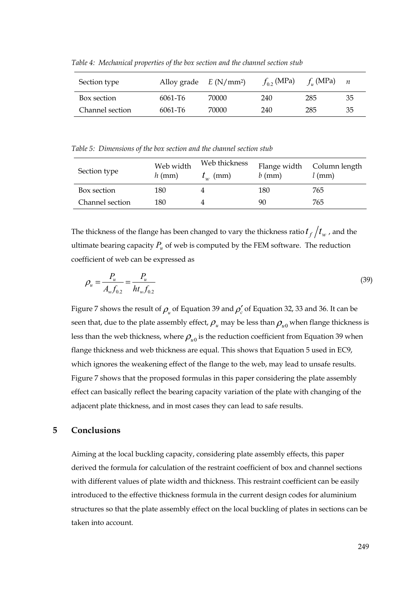| Section type    | Alloy grade $E(N/mm^2)$ |       | $f_0$ , (MPa) | $f_{\mu}$ (MPa) | $\boldsymbol{n}$ |
|-----------------|-------------------------|-------|---------------|-----------------|------------------|
| Box section     | $6061 - T6$             | 70000 | 240           | 285             | 35               |
| Channel section | $6061 - T6$             | 70000 | 240           | 285             | 35               |

Table 4: Mechanical properties of the box section and the channel section stub

*Table 5: Dimensions of the box section and the channel section stub* 

| Section type    | Web width<br>$h$ (mm) | Web thickness<br>$t_{w}$ (mm) | Flange width<br>$b$ (mm) | Column length<br>$l$ (mm) |
|-----------------|-----------------------|-------------------------------|--------------------------|---------------------------|
| Box section     | 180                   |                               | 180                      | 765                       |
| Channel section | 180                   |                               | 90                       | 765                       |

The thickness of the flange has been changed to vary the thickness ratio  $t_f/t_w$ , and the ultimate bearing capacity  $P_\mu$  of web is computed by the FEM software. The reduction coefficient of web can be expressed as

$$
\rho_u = \frac{P_u}{A_w f_{0.2}} = \frac{P_u}{h t_w f_{0.2}}
$$
\n(39)

Figure 7 shows the result of  $\rho_{\mu}$  of Equation 39 and  $\rho_{c}'$  of Equation 32, 33 and 36. It can be seen that, due to the plate assembly effect,  $\rho_u$  may be less than  $\rho_u$ <sup>0</sup> when flange thickness is less than the web thickness, where  $\rho_{u0}$  is the reduction coefficient from Equation 39 when flange thickness and web thickness are equal. This shows that Equation 5 used in EC9, which ignores the weakening effect of the flange to the web, may lead to unsafe results. Figure 7 shows that the proposed formulas in this paper considering the plate assembly effect can basically reflect the bearing capacity variation of the plate with changing of the adjacent plate thickness, and in most cases they can lead to safe results.

# **5 Conclusions**

Aiming at the local buckling capacity, considering plate assembly effects, this paper derived the formula for calculation of the restraint coefficient of box and channel sections with different values of plate width and thickness. This restraint coefficient can be easily introduced to the effective thickness formula in the current design codes for aluminium structures so that the plate assembly effect on the local buckling of plates in sections can be taken into account.